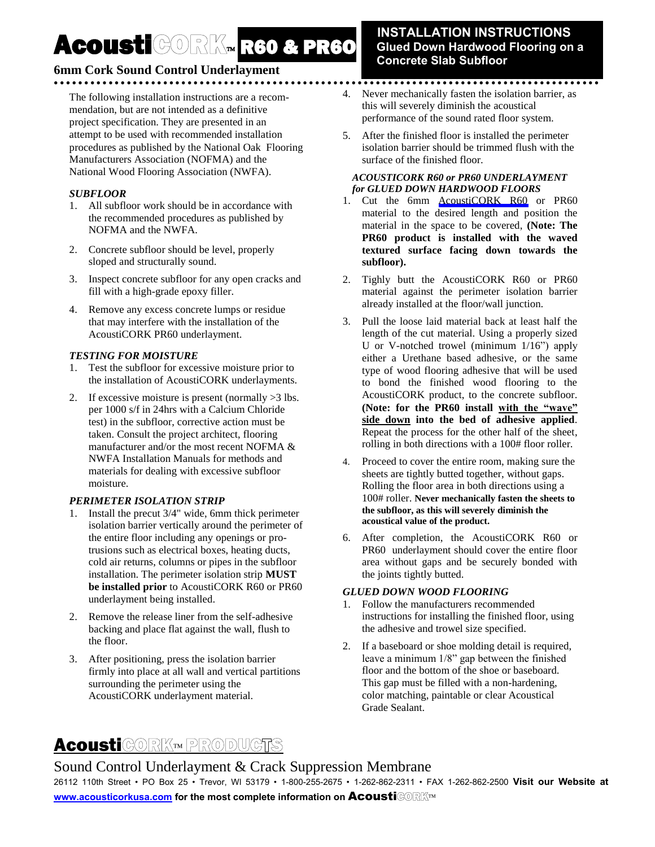# Acousti CORK R60 & PR60

### **INSTALLATION INSTRUCTIONS Glued Down Hardwood Flooring on a Concrete Slab Subfloor**

## **6mm Cork Sound Control Underlayment**

The following installation instructions are a recommendation, but are not intended as a definitive project specification. They are presented in an attempt to be used with recommended installation procedures as published by the National Oak Flooring Manufacturers Association (NOFMA) and the National Wood Flooring Association (NWFA).

#### *SUBFLOOR*

- 1. All subfloor work should be in accordance with the recommended procedures as published by NOFMA and the NWFA.
- 2. Concrete subfloor should be level, properly sloped and structurally sound.
- 3. Inspect concrete subfloor for any open cracks and fill with a high-grade epoxy filler.
- 4. Remove any excess concrete lumps or residue that may interfere with the installation of the AcoustiCORK PR60 underlayment.

#### *TESTING FOR MOISTURE*

- 1. Test the subfloor for excessive moisture prior to the installation of AcoustiCORK underlayments.
- 2. If excessive moisture is present (normally >3 lbs. per 1000 s/f in 24hrs with a Calcium Chloride test) in the subfloor, corrective action must be taken. Consult the project architect, flooring manufacturer and/or the most recent NOFMA & NWFA Installation Manuals for methods and materials for dealing with excessive subfloor moisture.

#### *PERIMETER ISOLATION STRIP*

- 1. Install the precut 3/4" wide, 6mm thick perimeter isolation barrier vertically around the perimeter of the entire floor including any openings or protrusions such as electrical boxes, heating ducts, cold air returns, columns or pipes in the subfloor installation. The perimeter isolation strip **MUST be installed prior** to AcoustiCORK R60 or PR60 underlayment being installed.
- 2. Remove the release liner from the self-adhesive backing and place flat against the wall, flush to the floor.
- 3. After positioning, press the isolation barrier firmly into place at all wall and vertical partitions surrounding the perimeter using the AcoustiCORK underlayment material.

4. Never mechanically fasten the isolation barrier, as this will severely diminish the acoustical performance of the sound rated floor system.

......................................

5. After the finished floor is installed the perimeter isolation barrier should be trimmed flush with the surface of the finished floor.

#### *ACOUSTICORK R60 or PR60 UNDERLAYMENT for GLUED DOWN HARDWOOD FLOORS*

- 1. Cut the 6mm [AcoustiCORK R60](http://cartwheelfactory.com/rubber-underlayment.html) or PR60 material to the desired length and position the material in the space to be covered, **(Note: The PR60 product is installed with the waved textured surface facing down towards the subfloor).**
- 2. Tighly butt the AcoustiCORK R60 or PR60 material against the perimeter isolation barrier already installed at the floor/wall junction.
- 3. Pull the loose laid material back at least half the length of the cut material. Using a properly sized U or V-notched trowel (minimum 1/16") apply either a Urethane based adhesive, or the same type of wood flooring adhesive that will be used to bond the finished wood flooring to the AcoustiCORK product, to the concrete subfloor. **(Note: for the PR60 install with the "wave" side down into the bed of adhesive applied**. Repeat the process for the other half of the sheet, rolling in both directions with a 100# floor roller.
- 4. Proceed to cover the entire room, making sure the sheets are tightly butted together, without gaps. Rolling the floor area in both directions using a 100# roller. **Never mechanically fasten the sheets to the subfloor, as this will severely diminish the acoustical value of the product.**
- 6. After completion, the AcoustiCORK R60 or PR60 underlayment should cover the entire floor area without gaps and be securely bonded with the joints tightly butted.

#### *GLUED DOWN WOOD FLOORING*

- 1. Follow the manufacturers recommended instructions for installing the finished floor, using the adhesive and trowel size specified.
- 2. If a baseboard or shoe molding detail is required, leave a minimum 1/8" gap between the finished floor and the bottom of the shoe or baseboard. This gap must be filled with a non-hardening, color matching, paintable or clear Acoustical Grade Sealant.

# **Acousti**CORK<sup>M</sup> PRODUCTS